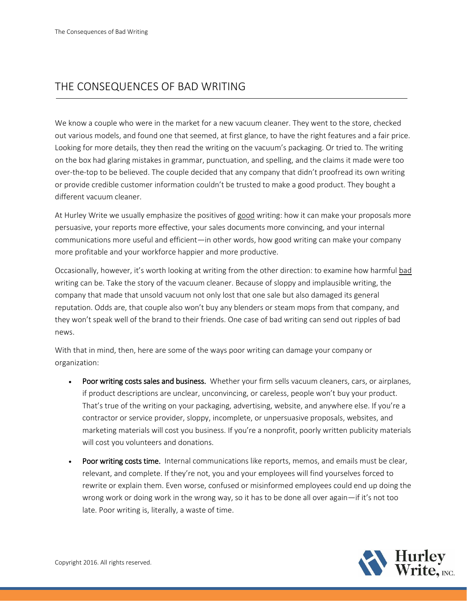## THE CONSEQUENCES OF BAD WRITING

We know a couple who were in the market for a new vacuum cleaner. They went to the store, checked out various models, and found one that seemed, at first glance, to have the right features and a fair price. Looking for more details, they then read the writing on the vacuum's packaging. Or tried to. The writing on the box had glaring mistakes in grammar, punctuation, and spelling, and the claims it made were too over-the-top to be believed. The couple decided that any company that didn't proofread its own writing or provide credible customer information couldn't be trusted to make a good product. They bought a different vacuum cleaner.

At Hurley Write we usually emphasize the positives of good writing: how it can make your proposals more persuasive, your reports more effective, your sales documents more convincing, and your internal communications more useful and efficient—in other words, how good writing can make your company more profitable and your workforce happier and more productive.

Occasionally, however, it's worth looking at writing from the other direction: to examine how harmful bad writing can be. Take the story of the vacuum cleaner. Because of sloppy and implausible writing, the company that made that unsold vacuum not only lost that one sale but also damaged its general reputation. Odds are, that couple also won't buy any blenders or steam mops from that company, and they won't speak well of the brand to their friends. One case of bad writing can send out ripples of bad news.

With that in mind, then, here are some of the ways poor writing can damage your company or organization:

- Poor writing costs sales and business. Whether your firm sells vacuum cleaners, cars, or airplanes, if product descriptions are unclear, unconvincing, or careless, people won't buy your product. That's true of the writing on your packaging, advertising, website, and anywhere else. If you're a contractor or service provider, sloppy, incomplete, or unpersuasive proposals, websites, and marketing materials will cost you business. If you're a nonprofit, poorly written publicity materials will cost you volunteers and donations.
- Poor writing costs time. Internal communications like reports, memos, and emails must be clear, relevant, and complete. If they're not, you and your employees will find yourselves forced to rewrite or explain them. Even worse, confused or misinformed employees could end up doing the wrong work or doing work in the wrong way, so it has to be done all over again—if it's not too late. Poor writing is, literally, a waste of time.